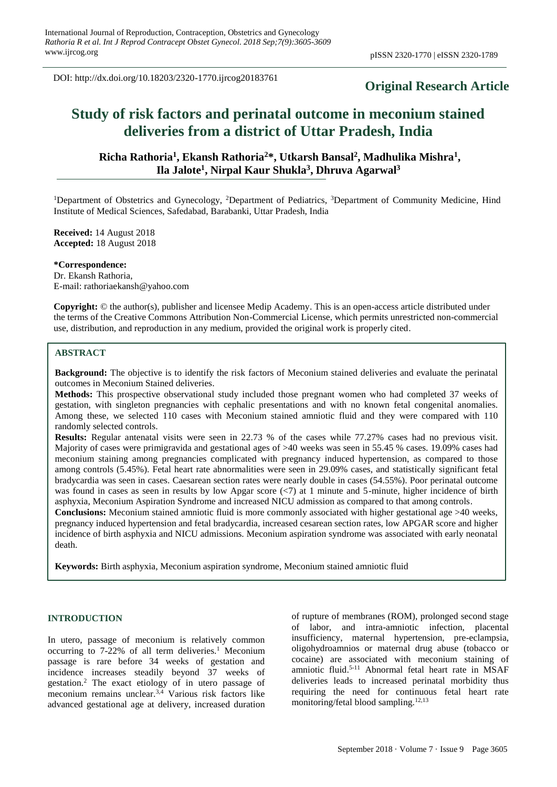DOI: http://dx.doi.org/10.18203/2320-1770.ijrcog20183761

# **Original Research Article**

# **Study of risk factors and perinatal outcome in meconium stained deliveries from a district of Uttar Pradesh, India**

# **Richa Rathoria<sup>1</sup> , Ekansh Rathoria<sup>2</sup>\*, Utkarsh Bansal<sup>2</sup> , Madhulika Mishra<sup>1</sup> , Ila Jalote<sup>1</sup> , Nirpal Kaur Shukla<sup>3</sup> , Dhruva Agarwal<sup>3</sup>**

<sup>1</sup>Department of Obstetrics and Gynecology, <sup>2</sup>Department of Pediatrics, <sup>3</sup>Department of Community Medicine, Hind Institute of Medical Sciences, Safedabad, Barabanki, Uttar Pradesh, India

**Received:** 14 August 2018 **Accepted:** 18 August 2018

**\*Correspondence:** Dr. Ekansh Rathoria, E-mail: rathoriaekansh@yahoo.com

**Copyright:** © the author(s), publisher and licensee Medip Academy. This is an open-access article distributed under the terms of the Creative Commons Attribution Non-Commercial License, which permits unrestricted non-commercial use, distribution, and reproduction in any medium, provided the original work is properly cited.

# **ABSTRACT**

**Background:** The objective is to identify the risk factors of Meconium stained deliveries and evaluate the perinatal outcomes in Meconium Stained deliveries.

**Methods:** This prospective observational study included those pregnant women who had completed 37 weeks of gestation, with singleton pregnancies with cephalic presentations and with no known fetal congenital anomalies. Among these, we selected 110 cases with Meconium stained amniotic fluid and they were compared with 110 randomly selected controls.

**Results:** Regular antenatal visits were seen in 22.73 % of the cases while 77.27% cases had no previous visit. Majority of cases were primigravida and gestational ages of >40 weeks was seen in 55.45 % cases. 19.09% cases had meconium staining among pregnancies complicated with pregnancy induced hypertension, as compared to those among controls (5.45%). Fetal heart rate abnormalities were seen in 29.09% cases, and statistically significant fetal bradycardia was seen in cases. Caesarean section rates were nearly double in cases (54.55%). Poor perinatal outcome was found in cases as seen in results by low Apgar score  $\langle \langle 7 \rangle$  at 1 minute and 5-minute, higher incidence of birth asphyxia, Meconium Aspiration Syndrome and increased NICU admission as compared to that among controls.

**Conclusions:** Meconium stained amniotic fluid is more commonly associated with higher gestational age >40 weeks, pregnancy induced hypertension and fetal bradycardia, increased cesarean section rates, low APGAR score and higher incidence of birth asphyxia and NICU admissions. Meconium aspiration syndrome was associated with early neonatal death.

**Keywords:** Birth asphyxia, Meconium aspiration syndrome, Meconium stained amniotic fluid

# **INTRODUCTION**

In utero, passage of meconium is relatively common occurring to  $7-22\%$  of all term deliveries.<sup>1</sup> Meconium passage is rare before 34 weeks of gestation and incidence increases steadily beyond 37 weeks of gestation.<sup>2</sup> The exact etiology of in utero passage of meconium remains unclear.3,4 Various risk factors like advanced gestational age at delivery, increased duration of rupture of membranes (ROM), prolonged second stage of labor, and intra-amniotic infection, placental insufficiency, maternal hypertension, pre-eclampsia, oligohydroamnios or maternal drug abuse (tobacco or cocaine) are associated with meconium staining of amniotic fluid. 5-11 Abnormal fetal heart rate in MSAF deliveries leads to increased perinatal morbidity thus requiring the need for continuous fetal heart rate monitoring/fetal blood sampling.12,13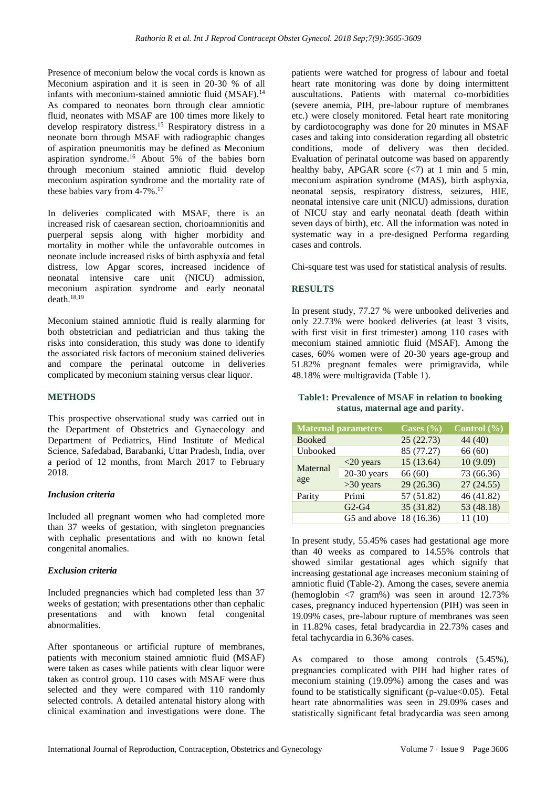Presence of meconium below the vocal cords is known as Meconium aspiration and it is seen in 20-30 % of all infants with meconium-stained amniotic fluid (MSAF).<sup>14</sup> As compared to neonates born through clear amniotic fluid, neonates with MSAF are 100 times more likely to develop respiratory distress.<sup>15</sup> Respiratory distress in a neonate born through MSAF with radiographic changes of aspiration pneumonitis may be defined as Meconium aspiration syndrome.<sup>16</sup> About 5% of the babies born through meconium stained amniotic fluid develop meconium aspiration syndrome and the mortality rate of these babies vary from  $4-7\%$ .<sup>17</sup>

In deliveries complicated with MSAF, there is an increased risk of caesarean section, chorioamnionitis and puerperal sepsis along with higher morbidity and mortality in mother while the unfavorable outcomes in neonate include increased risks of birth asphyxia and fetal distress, low Apgar scores, increased incidence of neonatal intensive care unit (NICU) admission, meconium aspiration syndrome and early neonatal death. $18,19$ 

Meconium stained amniotic fluid is really alarming for both obstetrician and pediatrician and thus taking the risks into consideration, this study was done to identify the associated risk factors of meconium stained deliveries and compare the perinatal outcome in deliveries complicated by meconium staining versus clear liquor.

# **METHODS**

This prospective observational study was carried out in the Department of Obstetrics and Gynaecology and Department of Pediatrics, Hind Institute of Medical Science, Safedabad, Barabanki, Uttar Pradesh, India, over a period of 12 months, from March 2017 to February 2018.

# *Inclusion criteria*

Included all pregnant women who had completed more than 37 weeks of gestation, with singleton pregnancies with cephalic presentations and with no known fetal congenital anomalies.

# *Exclusion criteria*

Included pregnancies which had completed less than 37 weeks of gestation; with presentations other than cephalic presentations and with known fetal congenital abnormalities.

After spontaneous or artificial rupture of membranes, patients with meconium stained amniotic fluid (MSAF) were taken as cases while patients with clear liquor were taken as control group. 110 cases with MSAF were thus selected and they were compared with 110 randomly selected controls. A detailed antenatal history along with clinical examination and investigations were done. The patients were watched for progress of labour and foetal heart rate monitoring was done by doing intermittent auscultations. Patients with maternal co-morbidities (severe anemia, PIH, pre-labour rupture of membranes etc.) were closely monitored. Fetal heart rate monitoring by cardiotocography was done for 20 minutes in MSAF cases and taking into consideration regarding all obstetric conditions, mode of delivery was then decided. Evaluation of perinatal outcome was based on apparently healthy baby, APGAR score  $\langle \langle 7 \rangle$  at 1 min and 5 min, meconium aspiration syndrome (MAS), birth asphyxia, neonatal sepsis, respiratory distress, seizures, HIE, neonatal intensive care unit (NICU) admissions, duration of NICU stay and early neonatal death (death within seven days of birth), etc. All the information was noted in systematic way in a pre-designed Performa regarding cases and controls.

Chi-square test was used for statistical analysis of results.

# **RESULTS**

In present study, 77.27 % were unbooked deliveries and only 22.73% were booked deliveries (at least 3 visits, with first visit in first trimester) among 110 cases with meconium stained amniotic fluid (MSAF). Among the cases, 60% women were of 20-30 years age-group and 51.82% pregnant females were primigravida, while 48.18% were multigravida (Table 1).

# **Table1: Prevalence of MSAF in relation to booking status, maternal age and parity.**

| <b>Maternal parameters</b> |                         | Cases $(\% )$ | Control $(\% )$ |
|----------------------------|-------------------------|---------------|-----------------|
| <b>Booked</b>              |                         | 25(22.73)     | 44 (40)         |
| Unbooked                   |                         | 85 (77.27)    | 66(60)          |
|                            | $<$ 20 years            | 15(13.64)     | 10(9.09)        |
| Maternal<br>age            | $20-30$ years           | 66 (60)       | 73 (66.36)      |
|                            | $>30$ years             | 29(26.36)     | 27(24.55)       |
| Parity                     | Primi                   | 57 (51.82)    | 46 (41.82)      |
|                            | $G2-G4$                 | 35 (31.82)    | 53 (48.18)      |
|                            | G5 and above 18 (16.36) |               | 11(10)          |

In present study, 55.45% cases had gestational age more than 40 weeks as compared to 14.55% controls that showed similar gestational ages which signify that increasing gestational age increases meconium staining of amniotic fluid (Table-2). Among the cases, severe anemia (hemoglobin <7 gram%) was seen in around 12.73% cases, pregnancy induced hypertension (PIH) was seen in 19.09% cases, pre-labour rupture of membranes was seen in 11.82% cases, fetal bradycardia in 22.73% cases and fetal tachycardia in 6.36% cases.

As compared to those among controls (5.45%), pregnancies complicated with PIH had higher rates of meconium staining (19.09%) among the cases and was found to be statistically significant (p-value $<0.05$ ). Fetal heart rate abnormalities was seen in 29.09% cases and statistically significant fetal bradycardia was seen among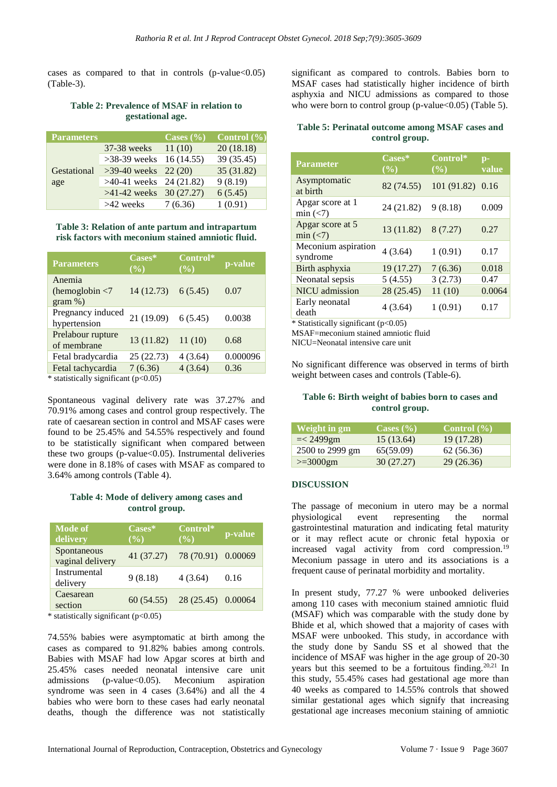cases as compared to that in controls  $(p-value<0.05)$ (Table-3).

# **Table 2: Prevalence of MSAF in relation to gestational age.**

| <b>Parameters</b> |                           | Cases $(\% )$ | Control $(\% )$ |
|-------------------|---------------------------|---------------|-----------------|
|                   | $37-38$ weeks             | 11(10)        | 20(18.18)       |
|                   | $>38-39$ weeks            | 16 (14.55)    | 39 (35.45)      |
| Gestational       | $>39-40$ weeks 22 (20)    |               | 35 (31.82)      |
| age               | $>40-41$ weeks 24 (21.82) |               | 9(8.19)         |
|                   | $>41-42$ weeks 30 (27.27) |               | 6(5.45)         |
|                   | >42 weeks                 | 7(6.36)       | 1(0.91)         |

#### **Table 3: Relation of ante partum and intrapartum risk factors with meconium stained amniotic fluid.**

| <b>Parameters</b>                                      | Cases*<br>$(\%)$  | Control*<br>(%) | p-value  |
|--------------------------------------------------------|-------------------|-----------------|----------|
| Anemia<br>(hemoglobin $\langle 7 \rangle$<br>$gram$ %) | 14(12.73) 6(5.45) |                 | 0.07     |
| Pregnancy induced<br>hypertension                      | 21(19.09) 6(5.45) |                 | 0.0038   |
| Prelabour rupture<br>of membrane                       | 13 (11.82)        | 11(10)          | 0.68     |
| Fetal bradycardia                                      | 25 (22.73)        | 4(3.64)         | 0.000096 |
| Fetal tachycardia                                      | 7(6.36)           | 4(3.64)         | 0.36     |

\* statistically significant (p<0.05)

Spontaneous vaginal delivery rate was 37.27% and 70.91% among cases and control group respectively. The rate of caesarean section in control and MSAF cases were found to be 25.45% and 54.55% respectively and found to be statistically significant when compared between these two groups (p-value $<0.05$ ). Instrumental deliveries were done in 8.18% of cases with MSAF as compared to 3.64% among controls (Table 4).

# **Table 4: Mode of delivery among cases and control group.**

| <b>Mode of</b><br>delivery      | Cases*<br>(%) | Control*<br>(%)               | p-value |
|---------------------------------|---------------|-------------------------------|---------|
| Spontaneous<br>vaginal delivery | 41(37.27)     | 78 (70.91) 0.00069            |         |
| Instrumental<br>delivery        | 9(8.18)       | 4(3.64)                       | 0.16    |
| Caesarean<br>section            |               | 60 (54.55) 28 (25.45) 0.00064 |         |

\* statistically significant (p<0.05)

74.55% babies were asymptomatic at birth among the cases as compared to 91.82% babies among controls. Babies with MSAF had low Apgar scores at birth and 25.45% cases needed neonatal intensive care unit admissions (p-value<0.05). Meconium aspiration syndrome was seen in 4 cases (3.64%) and all the 4 babies who were born to these cases had early neonatal deaths, though the difference was not statistically significant as compared to controls. Babies born to MSAF cases had statistically higher incidence of birth asphyxia and NICU admissions as compared to those who were born to control group (p-value $<0.05$ ) (Table 5).

**Table 5: Perinatal outcome among MSAF cases and control group.**

| <b>Parameter</b>                              | Cases*<br>$($ %) | Control*<br>$($ %) | $p-$<br>value |
|-----------------------------------------------|------------------|--------------------|---------------|
| Asymptomatic<br>at birth                      | 82 (74.55)       | 101 (91.82)        | 0.16          |
| Apgar score at 1<br>$min (\langle 7 \rangle)$ | 24 (21.82)       | 9(8.18)            | 0.009         |
| Apgar score at 5<br>min(<7)                   | 13(11.82)        | 8(7.27)            | 0.27          |
| Meconium aspiration<br>syndrome               | 4(3.64)          | 1(0.91)            | 0.17          |
| Birth asphyxia                                | 19 (17.27)       | 7(6.36)            | 0.018         |
| Neonatal sepsis                               | 5(4.55)          | 3(2.73)            | 0.47          |
| <b>NICU</b> admission                         | 28 (25.45)       | 11(10)             | 0.0064        |
| Early neonatal<br>death                       | 4 (3.64)         | 1(0.91)            | 0.17          |

 $*$  Statistically significant ( $p<0.05$ )

MSAF=meconium stained amniotic fluid

NICU=Neonatal intensive care unit

No significant difference was observed in terms of birth weight between cases and controls (Table-6).

# **Table 6: Birth weight of babies born to cases and control group.**

| Weight in gm    | Cases $(\% )$ | Control $(\% )$ |
|-----------------|---------------|-----------------|
| $=< 2499$ gm    | 15(13.64)     | 19 (17.28)      |
| 2500 to 2999 gm | 65(59.09)     | 62 (56.36)      |
| $>=3000$ gm     | 30(27.27)     | 29(26.36)       |

# **DISCUSSION**

The passage of meconium in utero may be a normal physiological event representing the normal gastrointestinal maturation and indicating fetal maturity or it may reflect acute or chronic fetal hypoxia or increased vagal activity from cord compression.<sup>19</sup> Meconium passage in utero and its associations is a frequent cause of perinatal morbidity and mortality.

In present study, 77.27 % were unbooked deliveries among 110 cases with meconium stained amniotic fluid (MSAF) which was comparable with the study done by Bhide et al, which showed that a majority of cases with MSAF were unbooked. This study, in accordance with the study done by Sandu SS et al showed that the incidence of MSAF was higher in the age group of 20-30 years but this seemed to be a fortuitous finding.20,21 In this study, 55.45% cases had gestational age more than 40 weeks as compared to 14.55% controls that showed similar gestational ages which signify that increasing gestational age increases meconium staining of amniotic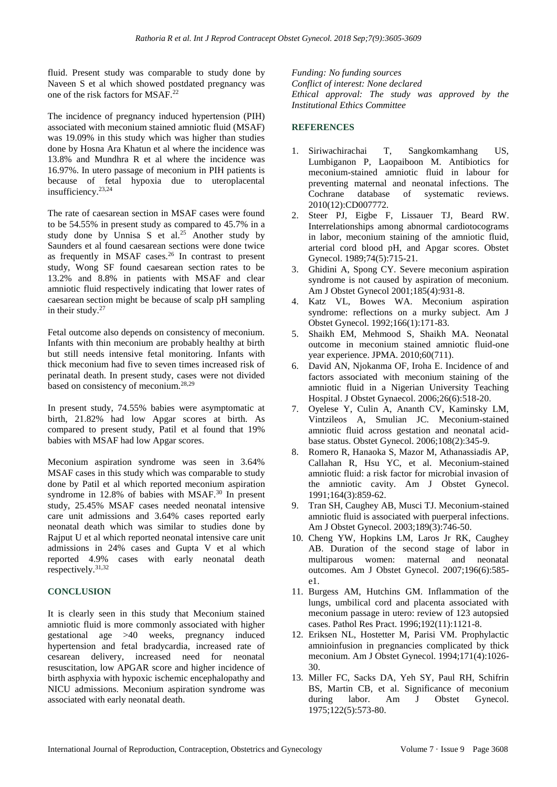fluid. Present study was comparable to study done by Naveen S et al which showed postdated pregnancy was one of the risk factors for MSAF.<sup>22</sup>

The incidence of pregnancy induced hypertension (PIH) associated with meconium stained amniotic fluid (MSAF) was 19.09% in this study which was higher than studies done by Hosna Ara Khatun et al where the incidence was 13.8% and Mundhra R et al where the incidence was 16.97%. In utero passage of meconium in PIH patients is because of fetal hypoxia due to uteroplacental insufficiency.23,24

The rate of caesarean section in MSAF cases were found to be 54.55% in present study as compared to 45.7% in a study done by Unnisa S et al.<sup>25</sup> Another study by Saunders et al found caesarean sections were done twice as frequently in MSAF cases.<sup>26</sup> In contrast to present study, Wong SF found caesarean section rates to be 13.2% and 8.8% in patients with MSAF and clear amniotic fluid respectively indicating that lower rates of caesarean section might be because of scalp pH sampling in their study. $27$ 

Fetal outcome also depends on consistency of meconium. Infants with thin meconium are probably healthy at birth but still needs intensive fetal monitoring. Infants with thick meconium had five to seven times increased risk of perinatal death. In present study, cases were not divided based on consistency of meconium.28,29

In present study, 74.55% babies were asymptomatic at birth, 21.82% had low Apgar scores at birth. As compared to present study, Patil et al found that 19% babies with MSAF had low Apgar scores.

Meconium aspiration syndrome was seen in 3.64% MSAF cases in this study which was comparable to study done by Patil et al which reported meconium aspiration syndrome in 12.8% of babies with MSAF.<sup>30</sup> In present study, 25.45% MSAF cases needed neonatal intensive care unit admissions and 3.64% cases reported early neonatal death which was similar to studies done by Rajput U et al which reported neonatal intensive care unit admissions in 24% cases and Gupta V et al which reported 4.9% cases with early neonatal death respectively. 31,32

# **CONCLUSION**

It is clearly seen in this study that Meconium stained amniotic fluid is more commonly associated with higher gestational age >40 weeks, pregnancy induced hypertension and fetal bradycardia, increased rate of cesarean delivery, increased need for neonatal resuscitation, low APGAR score and higher incidence of birth asphyxia with hypoxic ischemic encephalopathy and NICU admissions. Meconium aspiration syndrome was associated with early neonatal death.

*Funding: No funding sources Conflict of interest: None declared Ethical approval: The study was approved by the Institutional Ethics Committee*

# **REFERENCES**

- 1. Siriwachirachai T, Sangkomkamhang US, Lumbiganon P, Laopaiboon M. Antibiotics for meconium-stained amniotic fluid in labour for preventing maternal and neonatal infections. The Cochrane database of systematic reviews. 2010(12):CD007772.
- 2. Steer PJ, Eigbe F, Lissauer TJ, Beard RW. Interrelationships among abnormal cardiotocograms in labor, meconium staining of the amniotic fluid, arterial cord blood pH, and Apgar scores. Obstet Gynecol. 1989;74(5):715-21.
- 3. Ghidini A, Spong CY. Severe meconium aspiration syndrome is not caused by aspiration of meconium. Am J Obstet Gynecol 2001;185(4):931-8.
- 4. Katz VL, Bowes WA. Meconium aspiration syndrome: reflections on a murky subject. Am J Obstet Gynecol. 1992;166(1):171-83.
- 5. Shaikh EM, Mehmood S, Shaikh MA. Neonatal outcome in meconium stained amniotic fluid-one year experience. JPMA. 2010;60(711).
- 6. David AN, Njokanma OF, Iroha E. Incidence of and factors associated with meconium staining of the amniotic fluid in a Nigerian University Teaching Hospital. J Obstet Gynaecol. 2006;26(6):518-20.
- 7. Oyelese Y, Culin A, Ananth CV, Kaminsky LM, Vintzileos A, Smulian JC. Meconium-stained amniotic fluid across gestation and neonatal acidbase status. Obstet Gynecol. 2006;108(2):345-9.
- 8. Romero R, Hanaoka S, Mazor M, Athanassiadis AP, Callahan R, Hsu YC, et al. Meconium-stained amniotic fluid: a risk factor for microbial invasion of the amniotic cavity. Am J Obstet Gynecol. 1991;164(3):859-62.
- 9. Tran SH, Caughey AB, Musci TJ. Meconium-stained amniotic fluid is associated with puerperal infections. Am J Obstet Gynecol. 2003;189(3):746-50.
- 10. Cheng YW, Hopkins LM, Laros Jr RK, Caughey AB. Duration of the second stage of labor in multiparous women: maternal and neonatal outcomes. Am J Obstet Gynecol. 2007;196(6):585 e1.
- 11. Burgess AM, Hutchins GM. Inflammation of the lungs, umbilical cord and placenta associated with meconium passage in utero: review of 123 autopsied cases. Pathol Res Pract. 1996;192(11):1121-8.
- 12. Eriksen NL, Hostetter M, Parisi VM. Prophylactic amnioinfusion in pregnancies complicated by thick meconium. Am J Obstet Gynecol. 1994;171(4):1026- 30.
- 13. Miller FC, Sacks DA, Yeh SY, Paul RH, Schifrin BS, Martin CB, et al. Significance of meconium during labor. Am J Obstet Gynecol. 1975;122(5):573-80.